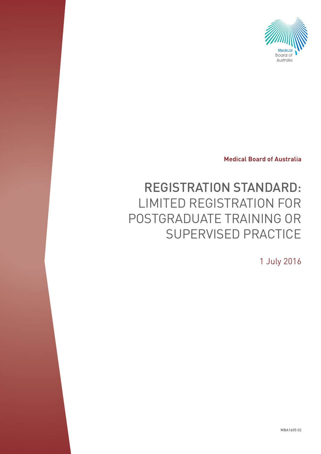

**Medical Board of Australia**

# REGISTRATION STANDARD: LIMITED REGISTRATION FOR POSTGRADUATE TRAINING OR SUPERVISED PRACTICE

1 July 2016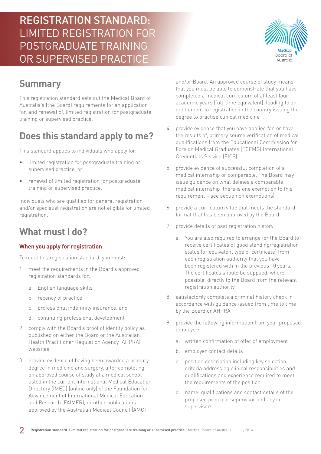## **Summary**

This registration standard sets out the Medical Board of Australia's (the Board) requirements for an application for, and renewal of, limited registration for postgraduate training or supervised practice.

## **Does this standard apply to me?**

This standard applies to individuals who apply for:

- limited registration for postgraduate training or supervised practice, or
- renewal of limited registration for postgraduate training or supervised practice.

Individuals who are qualified for general registration and/or specialist registration are not eligible for limited registration.

### **What must I do?**

#### **When you apply for registration**

To meet this registration standard, you must:

- 1. meet the requirements in the Board's approved registration standards for:
	- a. English language skills
	- b. recency of practice
	- c. professional indemnity insurance, and
	- d. continuing professional development
- 2. comply with the Board's proof of identity policy as published on either the Board or the Australian Health Practitioner Regulation Agency (AHPRA) websites
- 3. provide evidence of having been awarded a primary degree in medicine and surgery, after completing an approved course of study at a medical school listed in the current International Medical Education Directory (IMED) (online only) of the Foundation for Advancement of International Medical Education and Research (FAIMER), or other publications approved by the Australian Medical Council (AMC)

and/or Board. An approved course of study means that you must be able to demonstrate that you have completed a medical curriculum of at least four academic years (full-time equivalent), leading to an entitlement to registration in the country issuing the degree to practise clinical medicine

- 4. provide evidence that you have applied for, or have the results of, primary source verification of medical qualifications from the Educational Commission for Foreign Medical Graduates (ECFMG) International Credentials Service (EICS)
- 5. provide evidence of successful completion of a medical internship or comparable. The Board may issue guidance on what defines a comparable medical internship (there is one exemption to this requirement – see section on exemptions)
- 6. provide a curriculum vitae that meets the standard format that has been approved by the Board
- 7. provide details of past registration history:
	- a. You are also required to arrange for the Board to receive certificates of good standing/registration status (or equivalent type of certificate) from each registration authority that you have been registered with in the previous 10 years. The certificates should be supplied, where possible, directly to the Board from the relevant registration authority
- 8. satisfactorily complete a criminal history check in accordance with guidance issued from time to time by the Board or AHPRA
- 9. provide the following information from your proposed employer:
	- a. written confirmation of offer of employment
	- b. employer contact details
	- c. position description including key selection criteria addressing clinical responsibilities and qualifications and experience required to meet the requirements of the position
	- d. name, qualifications and contact details of the proposed principal supervisor and any cosupervisors

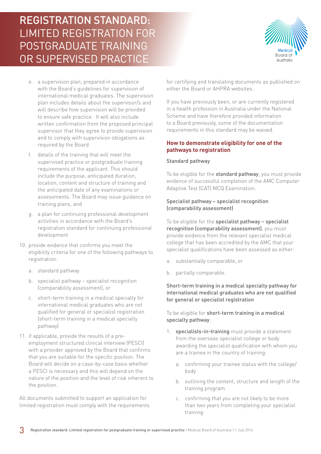

- e. a supervision plan, prepared in accordance with the Board's guidelines for supervision of international medical graduates. The supervision plan includes details about the supervisor/s and will describe how supervision will be provided to ensure safe practice. It will also include written confirmation from the proposed principal supervisor that they agree to provide supervision and to comply with supervision obligations as required by the Board
- f. details of the training that will meet the supervised practice or postgraduate training requirements of the applicant. This should include the purpose, anticipated duration, location, content and structure of training and the anticipated date of any examinations or assessments. The Board may issue guidance on training plans, and
- g. a plan for continuing professional development activities in accordance with the Board's registration standard for continuing professional development
- 10. provide evidence that confirms you meet the eligibility criteria for one of the following pathways to registration:
	- a. standard pathway
	- b. specialist pathway specialist recognition (comparability assessment), or
	- c. short-term training in a medical specialty for international medical graduates who are not qualified for general or specialist registration (short-term training in a medical specialty pathway)
- 11. if applicable, provide the results of a preemployment structured clinical interview (PESCI) with a provider approved by the Board that confirms that you are suitable for the specific position. The Board will decide on a case-by-case basis whether a PESCI is necessary and this will depend on the nature of the position and the level of risk inherent to the position.

All documents submitted to support an application for limited registration must comply with the requirements for certifying and translating documents as published on either the Board or AHPRA websites.

If you have previously been, or are currently registered in a health profession in Australia under the National Scheme and have therefore provided information to a Board previously, some of the documentation requirements in this standard may be waived.

#### **How to demonstrate eligibility for one of the pathways to registration**

#### Standard pathway

To be eligible for the standard pathway, you must provide evidence of successful completion of the AMC Computer Adaptive Test (CAT) MCQ Examination.

#### Specialist pathway – specialist recognition (comparability assessment)

To be eligible for the specialist pathway - specialist recognition (comparability assessment), you must provide evidence from the relevant specialist medical college that has been accredited by the AMC that your specialist qualifications have been assessed as either:

- a. substantially comparable, or
- b. partially comparable.

#### Short-term training in a medical specialty pathway for international medical graduates who are not qualified for general or specialist registration

To be eligible for short-term training in a medical specialty pathway:

- 1. specialists-in-training must provide a statement from the overseas specialist college or body awarding the specialist qualification with whom you are a trainee in the country of training:
	- a. confirming your trainee status with the college/ body
	- b. outlining the content, structure and length of the training program
	- c. confirming that you are not likely to be more than two years from completing your specialist training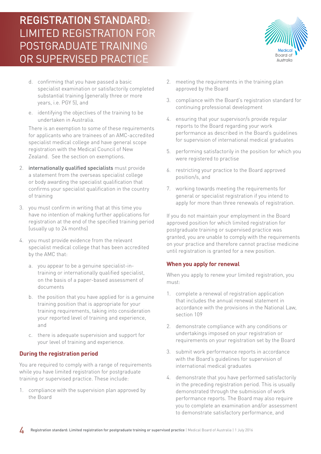Board of Australia

- d. confirming that you have passed a basic specialist examination or satisfactorily completed substantial training (generally three or more years, i.e. PGY 5), and
- e. identifying the objectives of the training to be undertaken in Australia.

There is an exemption to some of these requirements for applicants who are trainees of an AMC-accredited specialist medical college and have general scope registration with the Medical Council of New Zealand. See the section on exemptions.

- 2. internationally qualified specialists must provide a statement from the overseas specialist college or body awarding the specialist qualification that confirms your specialist qualification in the country of training
- 3. you must confirm in writing that at this time you have no intention of making further applications for registration at the end of the specified training period (usually up to 24 months)
- 4. you must provide evidence from the relevant specialist medical college that has been accredited by the AMC that:
	- a. you appear to be a genuine specialist-intraining or internationally qualified specialist, on the basis of a paper-based assessment of documents
	- b. the position that you have applied for is a genuine training position that is appropriate for your training requirements, taking into consideration your reported level of training and experience, and
	- c. there is adequate supervision and support for your level of training and experience.

#### **During the registration period**

You are required to comply with a range of requirements while you have limited registration for postgraduate training or supervised practice. These include:

1. compliance with the supervision plan approved by the Board

- 2. meeting the requirements in the training plan approved by the Board
- 3. compliance with the Board's registration standard for continuing professional development
- 4. ensuring that your supervisor/s provide regular reports to the Board regarding your work performance as described in the Board's guidelines for supervision of international medical graduates
- 5. performing satisfactorily in the position for which you were registered to practise
- 6. restricting your practice to the Board approved position/s, and
- 7. working towards meeting the requirements for general or specialist registration if you intend to apply for more than three renewals of registration.

If you do not maintain your employment in the Board approved position for which limited registration for postgraduate training or supervised practice was granted, you are unable to comply with the requirements on your practice and therefore cannot practise medicine until registration is granted for a new position.

#### **When you apply for renewal**

When you apply to renew your limited registration, you must:

- 1. complete a renewal of registration application that includes the annual renewal statement in accordance with the provisions in the National Law, section 109
- 2. demonstrate compliance with any conditions or undertakings imposed on your registration or requirements on your registration set by the Board
- 3. submit work performance reports in accordance with the Board's quidelines for supervision of international medical graduates
- 4. demonstrate that you have performed satisfactorily in the preceding registration period. This is usually demonstrated through the submission of work performance reports. The Board may also require you to complete an examination and/or assessment to demonstrate satisfactory performance, and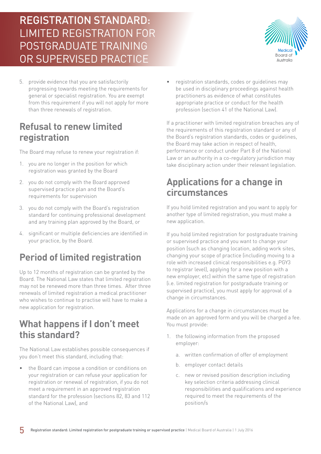

5. provide evidence that you are satisfactorily progressing towards meeting the requirements for general or specialist registration. You are exempt from this requirement if you will not apply for more than three renewals of registration.

### **Refusal to renew limited registration**

The Board may refuse to renew your registration if:

- 1. you are no longer in the position for which registration was granted by the Board
- 2. you do not comply with the Board approved supervised practice plan and the Board's requirements for supervision
- 3. you do not comply with the Board's registration standard for continuing professional development and any training plan approved by the Board, or
- 4. significant or multiple deficiencies are identified in your practice, by the Board.

## **Period of limited registration**

Up to 12 months of registration can be granted by the Board. The National Law states that limited registration may not be renewed more than three times. After three renewals of limited registration a medical practitioner who wishes to continue to practise will have to make a new application for registration.

### **What happens if I don't meet this standard?**

The National Law establishes possible consequences if you don't meet this standard, including that:

the Board can impose a condition or conditions on your registration or can refuse your application for registration or renewal of registration, if you do not meet a requirement in an approved registration standard for the profession (sections 82, 83 and 112 of the National Law), and

• registration standards, codes or guidelines may be used in disciplinary proceedings against health practitioners as evidence of what constitutes appropriate practice or conduct for the health profession (section 41 of the National Law).

If a practitioner with limited registration breaches any of the requirements of this registration standard or any of the Board's registration standards, codes or guidelines, the Board may take action in respect of health, performance or conduct under Part 8 of the National Law or an authority in a co-regulatory jurisdiction may take disciplinary action under their relevant legislation.

### **Applications for a change in circumstances**

If you hold limited registration and you want to apply for another type of limited registration, you must make a new application.

If you hold limited registration for postgraduate training or supervised practice and you want to change your position (such as changing location, adding work sites, changing your scope of practice (including moving to a role with increased clinical responsibilities e.g. PGY3 to registrar level), applying for a new position with a new employer, etc) within the same type of registration (i.e. limited registration for postgraduate training or supervised practice), you must apply for approval of a change in circumstances.

Applications for a change in circumstances must be made on an approved form and you will be charged a fee. You must provide:

- 1. the following information from the proposed employer:
	- a. written confirmation of offer of employment
	- b. employer contact details
	- c. new or revised position description including key selection criteria addressing clinical responsibilities and qualifications and experience required to meet the requirements of the position/s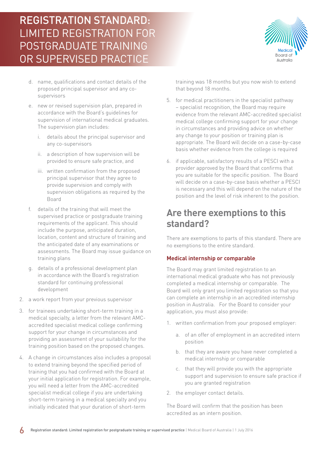Board of Australia

- d. name, qualifications and contact details of the proposed principal supervisor and any cosupervisors
- e. new or revised supervision plan, prepared in accordance with the Board's guidelines for supervision of international medical graduates. The supervision plan includes:
	- i. details about the principal supervisor and any co-supervisors
	- ii. a description of how supervision will be provided to ensure safe practice, and
	- iii. written confirmation from the proposed principal supervisor that they agree to provide supervision and comply with supervision obligations as required by the Board
- f. details of the training that will meet the supervised practice or postgraduate training requirements of the applicant. This should include the purpose, anticipated duration, location, content and structure of training and the anticipated date of any examinations or assessments. The Board may issue guidance on training plans
- g. details of a professional development plan in accordance with the Board's registration standard for continuing professional development
- 2. a work report from your previous supervisor
- 3. for trainees undertaking short-term training in a medical specialty, a letter from the relevant AMCaccredited specialist medical college confirming support for your change in circumstances and providing an assessment of your suitability for the training position based on the proposed changes.
- 4. A change in circumstances also includes a proposal to extend training beyond the specified period of training that you had confirmed with the Board at your initial application for registration. For example, you will need a letter from the AMC-accredited specialist medical college if you are undertaking short-term training in a medical specialty and you initially indicated that your duration of short-term

training was 18 months but you now wish to extend that beyond 18 months.

- 5. for medical practitioners in the specialist pathway – specialist recognition, the Board may require evidence from the relevant AMC-accredited specialist medical college confirming support for your change in circumstances and providing advice on whether any change to your position or training plan is appropriate. The Board will decide on a case-by-case basis whether evidence from the college is required
- 6. if applicable, satisfactory results of a PESCI with a provider approved by the Board that confirms that you are suitable for the specific position. The Board will decide on a case-by-case basis whether a PESCI is necessary and this will depend on the nature of the position and the level of risk inherent to the position.

### **Are there exemptions to this standard?**

There are exemptions to parts of this standard. There are no exemptions to the entire standard.

#### **Medical internship or comparable**

The Board may grant limited registration to an international medical graduate who has not previously completed a medical internship or comparable. The Board will only grant you limited registration so that you can complete an internship in an accredited internship position in Australia. For the Board to consider your application, you must also provide:

- 1. written confirmation from your proposed employer:
	- a. of an offer of employment in an accredited intern position
	- b. that they are aware you have never completed a medical internship or comparable
	- c. that they will provide you with the appropriate support and supervision to ensure safe practice if you are granted registration
- 2. the employer contact details.

The Board will confirm that the position has been accredited as an intern position.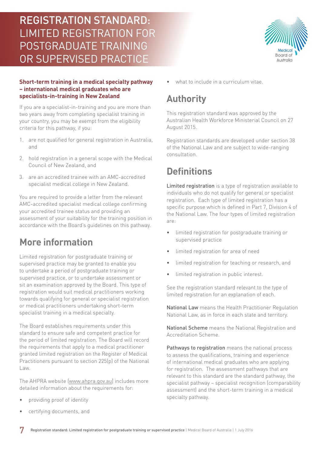

If you are a specialist-in-training and you are more than two years away from completing specialist training in your country, you may be exempt from the eligibility criteria for this pathway, if you:

- 1. are not qualified for general registration in Australia, and
- 2. hold registration in a general scope with the Medical Council of New Zealand, and
- 3. are an accredited trainee with an AMC-accredited specialist medical college in New Zealand.

You are required to provide a letter from the relevant AMC-accredited specialist medical college confirming your accredited trainee status and providing an assessment of your suitability for the training position in accordance with the Board's guidelines on this pathway.

### **More information**

Limited registration for postgraduate training or supervised practice may be granted to enable you to undertake a period of postgraduate training or supervised practice, or to undertake assessment or sit an examination approved by the Board. This type of registration would suit medical practitioners working towards qualifying for general or specialist registration or medical practitioners undertaking short-term specialist training in a medical specialty.

The Board establishes requirements under this standard to ensure safe and competent practice for the period of limited registration. The Board will record the requirements that apply to a medical practitioner granted limited registration on the Register of Medical Practitioners pursuant to section 225(p) of the National Law.

The AHPRA website [\(www.ahpra.gov.au\)](http://www.ahpra.gov.au) includes more detailed information about the requirements for:

- providing proof of identity
- certifying documents, and

what to include in a curriculum vitae.

### **Authority**

This registration standard was approved by the Australian Health Workforce Ministerial Council on 27 August 2015.

Registration standards are developed under section 38 of the National Law and are subject to wide-ranging consultation.

### **Definitions**

Limited registration is a type of registration available to individuals who do not qualify for general or specialist registration. Each type of limited registration has a specific purpose which is defined in Part 7, Division 4 of the National Law. The four types of limited registration are:

- limited registration for postgraduate training or supervised practice
- limited registration for area of need
- limited registration for teaching or research, and
- limited registration in public interest.

See the registration standard relevant to the type of limited registration for an explanation of each.

National Law means the Health Practitioner Regulation National Law, as in force in each state and territory.

National Scheme means the National Registration and Accreditation Scheme.

Pathways to registration means the national process to assess the qualifications, training and experience of international medical graduates who are applying for registration. The assessment pathways that are relevant to this standard are the standard pathway, the specialist pathway – specialist recognition (comparability assessment) and the short-term training in a medical specialty pathway.